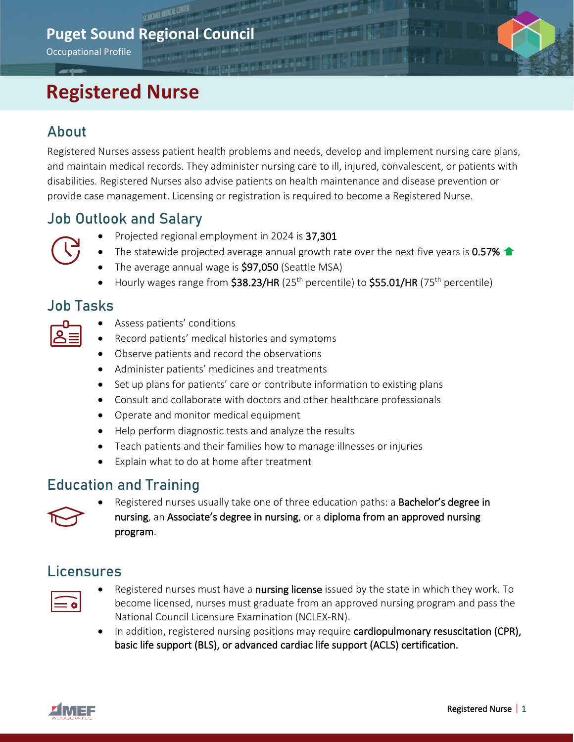# **Puget Sound Regional Council**

Occupational Profile

# **Registered Nurse**

# About

Registered Nurses assess patient health problems and needs, develop and implement nursing care plans, and maintain medical records. They administer nursing care to ill, injured, convalescent, or patients with disabilities. Registered Nurses also advise patients on health maintenance and disease prevention or provide case management. Licensing or registration is required to become a Registered Nurse.

# Job Outlook and Salary



- Projected regional employment in 2024 is 37,301
- The statewide projected average annual growth rate over the next five years is 0.57%  $\triangle$
- The average annual wage is \$97,050 (Seattle MSA)
- Hourly wages range from  $$38.23/HR$  (25<sup>th</sup> percentile) to  $$55.01/HR$  (75<sup>th</sup> percentile)

#### Job Tasks

| — |                                                                                          |
|---|------------------------------------------------------------------------------------------|
|   |                                                                                          |
|   | $\mathcal{L}(\mathcal{L})$ and $\mathcal{L}(\mathcal{L})$ and $\mathcal{L}(\mathcal{L})$ |
|   |                                                                                          |

- Assess patients' conditions
- Record patients' medical histories and symptoms
- Observe patients and record the observations
- Administer patients' medicines and treatments
- Set up plans for patients' care or contribute information to existing plans
- Consult and collaborate with doctors and other healthcare professionals
- Operate and monitor medical equipment
- Help perform diagnostic tests and analyze the results
- Teach patients and their families how to manage illnesses or injuries
- Explain what to do at home after treatment

# Education and Training



Registered nurses usually take one of three education paths: a Bachelor's degree in nursing, an Associate's degree in nursing, or a diploma from an approved nursing program.

#### Licensures

| v<br>v<br>o ma | u |
|----------------|---|
|                |   |
|                |   |
|                |   |

- Registered nurses must have a nursing license issued by the state in which they work. To become licensed, nurses must graduate from an approved nursing program and pass the National Council Licensure Examination (NCLEX-RN).
- In addition, registered nursing positions may require cardiopulmonary resuscitation (CPR), basic life support (BLS), or advanced cardiac life support (ACLS) certification.

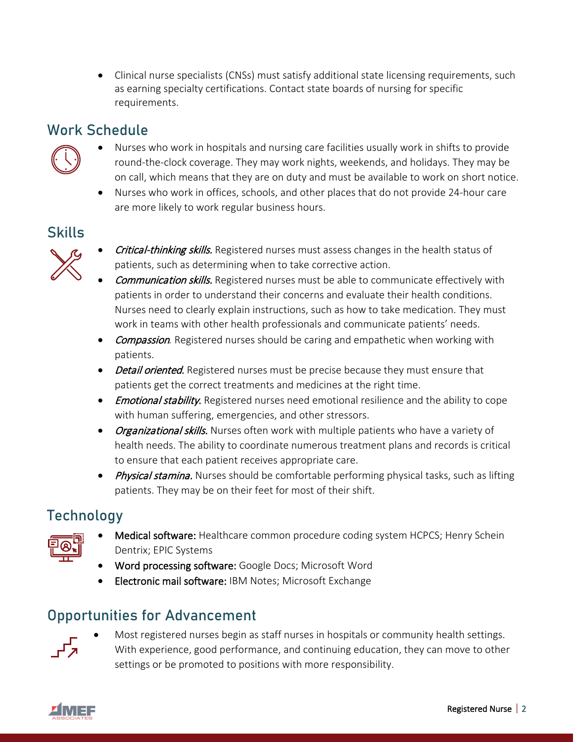• Clinical nurse specialists (CNSs) must satisfy additional state licensing requirements, such as earning specialty certifications. Contact state boards of nursing for specific requirements.

#### Work Schedule



- Nurses who work in hospitals and nursing care facilities usually work in shifts to provide round-the-clock coverage. They may work nights, weekends, and holidays. They may be on call, which means that they are on duty and must be available to work on short notice.
- Nurses who work in offices, schools, and other places that do not provide 24-hour care are more likely to work regular business hours.

# Skills



- **Critical-thinking skills.** Registered nurses must assess changes in the health status of patients, such as determining when to take corrective action.
- **Communication skills.** Registered nurses must be able to communicate effectively with patients in order to understand their concerns and evaluate their health conditions. Nurses need to clearly explain instructions, such as how to take medication. They must work in teams with other health professionals and communicate patients' needs.
- Compassion. Registered nurses should be caring and empathetic when working with patients.
- Detail oriented. Registered nurses must be precise because they must ensure that patients get the correct treatments and medicines at the right time.
- *Emotional stability*. Registered nurses need emotional resilience and the ability to cope with human suffering, emergencies, and other stressors.
- *Organizational skills*. Nurses often work with multiple patients who have a variety of health needs. The ability to coordinate numerous treatment plans and records is critical to ensure that each patient receives appropriate care.
- *Physical stamina*. Nurses should be comfortable performing physical tasks, such as lifting patients. They may be on their feet for most of their shift.

# Technology



- Medical software: Healthcare common procedure coding system HCPCS; Henry Schein Dentrix; EPIC Systems
- **Word processing software:** Google Docs; Microsoft Word
- Electronic mail software: IBM Notes; Microsoft Exchange

# Opportunities for Advancement



- Most registered nurses begin as staff nurses in hospitals or community health settings.
- With experience, good performance, and continuing education, they can move to other settings or be promoted to positions with more responsibility.

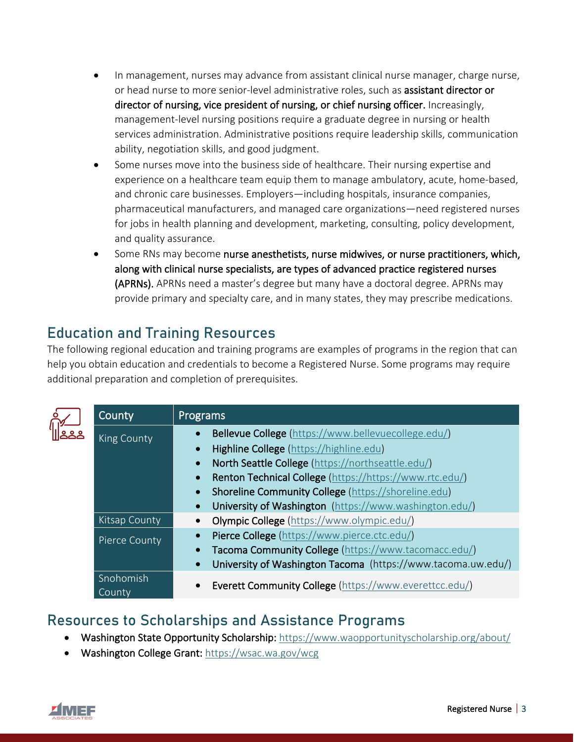- In management, nurses may advance from assistant clinical nurse manager, charge nurse, or head nurse to more senior-level administrative roles, such as assistant director or director of nursing, vice president of nursing, or chief nursing officer. Increasingly, management-level nursing positions require a graduate degree in nursing or health services administration. Administrative positions require leadership skills, communication ability, negotiation skills, and good judgment.
- Some nurses move into the business side of healthcare. Their nursing expertise and experience on a healthcare team equip them to manage ambulatory, acute, home-based, and chronic care businesses. Employers—including hospitals, insurance companies, pharmaceutical manufacturers, and managed care organizations—need registered nurses for jobs in health planning and development, marketing, consulting, policy development, and quality assurance.
- Some RNs may become nurse anesthetists, nurse midwives, or nurse practitioners, which, along with clinical nurse specialists, are types of advanced practice registered nurses (APRNs). APRNs need a master's degree but many have a doctoral degree. APRNs may provide primary and specialty care, and in many states, they may prescribe medications.

# Education and Training Resources

The following regional education and training programs are examples of programs in the region that can help you obtain education and credentials to become a Registered Nurse. Some programs may require additional preparation and completion of prerequisites.

|  | County               | Programs                                                             |  |
|--|----------------------|----------------------------------------------------------------------|--|
|  | <b>King County</b>   | Bellevue College (https://www.bellevuecollege.edu/)                  |  |
|  |                      | Highline College (https://highline.edu)                              |  |
|  |                      | North Seattle College (https://northseattle.edu/)                    |  |
|  |                      | Renton Technical College (https://https://www.rtc.edu/)<br>$\bullet$ |  |
|  |                      | Shoreline Community College (https://shoreline.edu)                  |  |
|  |                      | University of Washington (https://www.washington.edu/)               |  |
|  | <b>Kitsap County</b> | Olympic College (https://www.olympic.edu/)                           |  |
|  | Pierce County        | Pierce College (https://www.pierce.ctc.edu/)                         |  |
|  |                      | Tacoma Community College (https://www.tacomacc.edu/)                 |  |
|  |                      | University of Washington Tacoma (https://www.tacoma.uw.edu/)         |  |
|  | Snohomish            | Everett Community College (https://www.everettcc.edu/)               |  |
|  | County               |                                                                      |  |

#### Resources to Scholarships and Assistance Programs

- Washington State Opportunity Scholarship: https://www.waopportunityscholarship.org/about/
- Washington College Grant: <https://wsac.wa.gov/wcg>



 $\vec{\theta}$